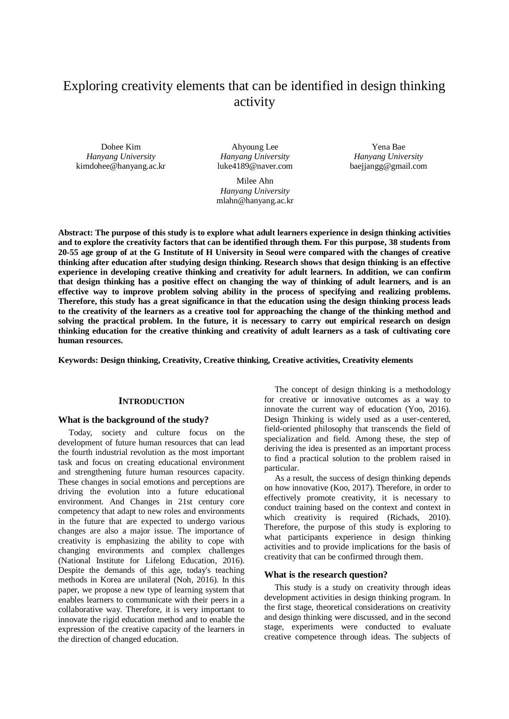# Exploring creativity elements that can be identified in design thinking activity

Dohee Kim *Hanyang University* kimdohee@hanyang.ac.kr

Ahyoung Lee *Hanyang University* luke4189@naver.com

Milee Ahn *Hanyang University* mlahn@hanyang.ac.kr

Yena Bae *Hanyang University* baejjangg@gmail.com

**Abstract: The purpose of this study is to explore what adult learners experience in design thinking activities and to explore the creativity factors that can be identified through them. For this purpose, 38 students from 20-55 age group of at the G Institute of H University in Seoul were compared with the changes of creative thinking after education after studying design thinking. Research shows that design thinking is an effective experience in developing creative thinking and creativity for adult learners. In addition, we can confirm that design thinking has a positive effect on changing the way of thinking of adult learners, and is an effective way to improve problem solving ability in the process of specifying and realizing problems. Therefore, this study has a great significance in that the education using the design thinking process leads to the creativity of the learners as a creative tool for approaching the change of the thinking method and solving the practical problem. In the future, it is necessary to carry out empirical research on design thinking education for the creative thinking and creativity of adult learners as a task of cultivating core human resources.**

**Keywords: Design thinking, Creativity, Creative thinking, Creative activities, Creativity elements**

# **INTRODUCTION**

#### **What is the background of the study?**

Today, society and culture focus on the development of future human resources that can lead the fourth industrial revolution as the most important task and focus on creating educational environment and strengthening future human resources capacity. These changes in social emotions and perceptions are driving the evolution into a future educational environment. And Changes in 21st century core competency that adapt to new roles and environments in the future that are expected to undergo various changes are also a major issue. The importance of creativity is emphasizing the ability to cope with changing environments and complex challenges (National Institute for Lifelong Education, 2016). Despite the demands of this age, today's teaching methods in Korea are unilateral (Noh, 2016). In this paper, we propose a new type of learning system that enables learners to communicate with their peers in a collaborative way. Therefore, it is very important to innovate the rigid education method and to enable the expression of the creative capacity of the learners in the direction of changed education.

The concept of design thinking is a methodology for creative or innovative outcomes as a way to innovate the current way of education (Yoo, 2016). Design Thinking is widely used as a user-centered, field-oriented philosophy that transcends the field of specialization and field. Among these, the step of deriving the idea is presented as an important process to find a practical solution to the problem raised in particular.

As a result, the success of design thinking depends on how innovative (Koo, 2017). Therefore, in order to effectively promote creativity, it is necessary to conduct training based on the context and context in which creativity is required (Richads, 2010). Therefore, the purpose of this study is exploring to what participants experience in design thinking activities and to provide implications for the basis of creativity that can be confirmed through them.

#### **What is the research question?**

This study is a study on creativity through ideas development activities in design thinking program. In the first stage, theoretical considerations on creativity and design thinking were discussed, and in the second stage, experiments were conducted to evaluate creative competence through ideas. The subjects of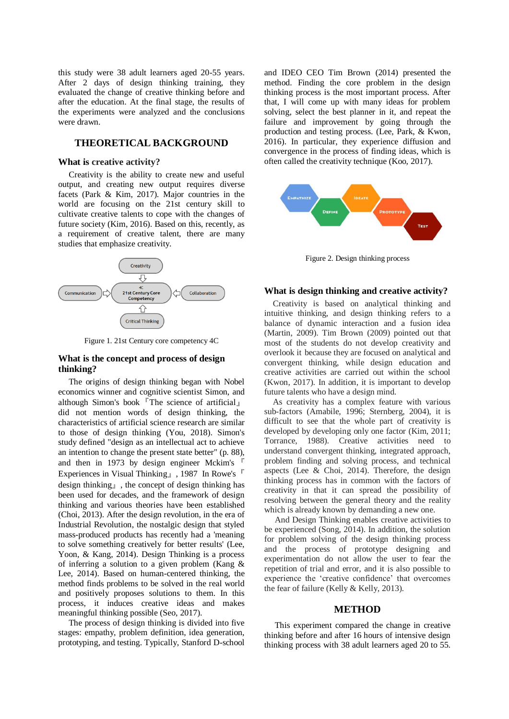this study were 38 adult learners aged 20-55 years. After 2 days of design thinking training, they evaluated the change of creative thinking before and after the education. At the final stage, the results of the experiments were analyzed and the conclusions were drawn.

# **THEORETICAL BACKGROUND**

## **What is creative activity?**

Creativity is the ability to create new and useful output, and creating new output requires diverse facets (Park & Kim, 2017). Major countries in the world are focusing on the 21st century skill to cultivate creative talents to cope with the changes of future society (Kim, 2016). Based on this, recently, as a requirement of creative talent, there are many studies that emphasize creativity.



Figure 1. 21st Century core competency 4C

# **What is the concept and process of design thinking?**

The origins of design thinking began with Nobel economics winner and cognitive scientist Simon, and although Simon's book『The science of artificial』 did not mention words of design thinking, the characteristics of artificial science research are similar to those of design thinking (You, 2018). Simon's study defined "design as an intellectual act to achieve an intention to change the present state better" (p. 88), and then in 1973 by design engineer Mckim's 『 Experiences in Visual Thinking』, 1987 In Rowe's『 design thinking』, the concept of design thinking has been used for decades, and the framework of design thinking and various theories have been established (Choi, 2013). After the design revolution, in the era of Industrial Revolution, the nostalgic design that styled mass-produced products has recently had a 'meaning to solve something creatively for better results' (Lee, Yoon, & Kang, 2014). Design Thinking is a process of inferring a solution to a given problem (Kang & Lee, 2014). Based on human-centered thinking, the method finds problems to be solved in the real world and positively proposes solutions to them. In this process, it induces creative ideas and makes meaningful thinking possible (Seo, 2017).

The process of design thinking is divided into five stages: empathy, problem definition, idea generation, prototyping, and testing. Typically, Stanford D-school

and IDEO CEO Tim Brown (2014) presented the method. Finding the core problem in the design thinking process is the most important process. After that, I will come up with many ideas for problem solving, select the best planner in it, and repeat the failure and improvement by going through the production and testing process. (Lee, Park, & Kwon, 2016). In particular, they experience diffusion and convergence in the process of finding ideas, which is often called the creativity technique (Koo, 2017).



Figure 2. Design thinking process

## **What is design thinking and creative activity?**

Creativity is based on analytical thinking and intuitive thinking, and design thinking refers to a balance of dynamic interaction and a fusion idea (Martin, 2009). Tim Brown (2009) pointed out that most of the students do not develop creativity and overlook it because they are focused on analytical and convergent thinking, while design education and creative activities are carried out within the school (Kwon, 2017). In addition, it is important to develop future talents who have a design mind.

As creativity has a complex feature with various sub-factors (Amabile, 1996; Sternberg, 2004), it is difficult to see that the whole part of creativity is developed by developing only one factor (Kim, 2011; Torrance, 1988). Creative activities need to understand convergent thinking, integrated approach, problem finding and solving process, and technical aspects (Lee  $& Choi, 2014$ ). Therefore, the design thinking process has in common with the factors of creativity in that it can spread the possibility of resolving between the general theory and the reality which is already known by demanding a new one.

And Design Thinking enables creative activities to be experienced (Song, 2014). In addition, the solution for problem solving of the design thinking process and the process of prototype designing and experimentation do not allow the user to fear the repetition of trial and error, and it is also possible to experience the 'creative confidence' that overcomes the fear of failure (Kelly & Kelly, 2013).

#### **METHOD**

This experiment compared the change in creative thinking before and after 16 hours of intensive design thinking process with 38 adult learners aged 20 to 55.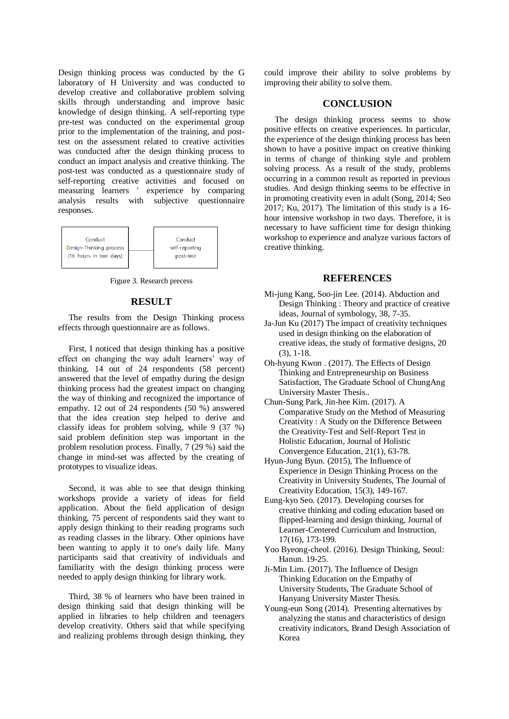Design thinking process was conducted by the G laboratory of H University and was conducted to develop creative and collaborative problem solving skills through understanding and improve basic knowledge of design thinking. A self-reporting type pre-test was conducted on the experimental group prior to the implementation of the training, and posttest on the assessment related to creative activities was conducted after the design thinking process to conduct an impact analysis and creative thinking. The post-test was conducted as a questionnaire study of self-reporting creative activities and focused on measuring learners ' experience by comparing analysis results with subjective questionnaire responses.



Figure 3. Research precess

## **RESULT**

The results from the Design Thinking process effects through questionnaire are as follows.

First, I noticed that design thinking has a positive effect on changing the way adult learners' way of thinking. 14 out of 24 respondents (58 percent) answered that the level of empathy during the design thinking process had the greatest impact on changing the way of thinking and recognized the importance of empathy. 12 out of 24 respondents (50 %) answered that the idea creation step helped to derive and classify ideas for problem solving, while 9 (37 %) said problem definition step was important in the problem resolution process. Finally, 7 (29 %) said the change in mind-set was affected by the creating of prototypes to visualize ideas.

Second, it was able to see that design thinking workshops provide a variety of ideas for field application. About the field application of design thinking, 75 percent of respondents said they want to apply design thinking to their reading programs such as reading classes in the library. Other opinions have been wanting to apply it to one's daily life. Many participants said that creativity of individuals and familiarity with the design thinking process were needed to apply design thinking for library work.

Third, 38 % of learners who have been trained in design thinking said that design thinking will be applied in libraries to help children and teenagers develop creativity. Others said that while specifying and realizing problems through design thinking, they could improve their ability to solve problems by improving their ability to solve them.

# **CONCLUSION**

The design thinking process seems to show positive effects on creative experiences. In particular, the experience of the design thinking process has been shown to have a positive impact on creative thinking in terms of change of thinking style and problem solving process. As a result of the study, problems occurring in a common result as reported in previous studies. And design thinking seems to be effective in in promoting creativity even in adult (Song, 2014; Seo 2017; Ku, 2017). The limitation of this study is a 16 hour intensive workshop in two days. Therefore, it is necessary to have sufficient time for design thinking workshop to experience and analyze various factors of creative thinking.

#### **REFERENCES**

- Mi-jung Kang, Soo-jin Lee. (2014). Abduction and Design Thinking : Theory and practice of creative ideas, Journal of symbology, 38, 7-35.
- Ja-Jun Ku (2017) The impact of creativity techniques used in design thinking on the elaboration of creative ideas, the study of formative designs, 20 (3), 1-18.
- Oh-hyung Kwon . (2017). The Effects of Design Thinking and Entrepreneurship on Business Satisfaction, The Graduate School of ChungAng University Master Thesis..
- Chun-Sung Park, Jin-hee Kim. (2017). A Comparative Study on the Method of Measuring Creativity : A Study on the Difference Between the Creativity-Test and Self-Report Test in Holistic Education, Journal of Holistic Convergence Education, 21(1), 63-78.
- Hyun-Jung Byun. (2015), The Influence of Experience in Design Thinking Process on the Creativity in University Students, The Journal of Creativity Education, 15(3), 149-167.
- Eung-kyo Seo. (2017). Developing courses for creative thinking and coding education based on flipped-learning and design thinking, Journal of Learner-Centered Curriculum and Instruction, 17(16), 173-199.
- Yoo Byeong-cheol. (2016). Design Thinking, Seoul: Hanun. 19-25.
- Ji-Min Lim. (2017). The Influence of Design Thinking Education on the Empathy of University Students, The Graduate School of Hanyang University Master Thesis.
- Young-eun Song (2014). Presenting alternatives by analyzing the status and characteristics of design creativity indicators, Brand Desigh Association of Korea